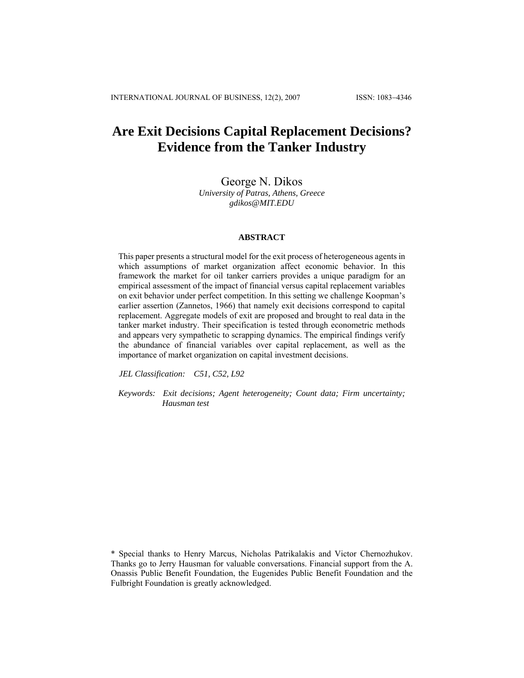# **Are Exit Decisions Capital Replacement Decisions? Evidence from the Tanker Industry**

George N. Dikos *University of Patras, Athens, Greece gdikos@MIT.EDU* 

#### **ABSTRACT**

This paper presents a structural model for the exit process of heterogeneous agents in which assumptions of market organization affect economic behavior. In this framework the market for oil tanker carriers provides a unique paradigm for an empirical assessment of the impact of financial versus capital replacement variables on exit behavior under perfect competition. In this setting we challenge Koopman's earlier assertion (Zannetos, 1966) that namely exit decisions correspond to capital replacement. Aggregate models of exit are proposed and brought to real data in the tanker market industry. Their specification is tested through econometric methods and appears very sympathetic to scrapping dynamics. The empirical findings verify the abundance of financial variables over capital replacement, as well as the importance of market organization on capital investment decisions.

*JEL Classification: C51, C52, L92* 

*Keywords: Exit decisions; Agent heterogeneity; Count data; Firm uncertainty; Hausman test* 

<sup>\*</sup> Special thanks to Henry Marcus, Nicholas Patrikalakis and Victor Chernozhukov. Thanks go to Jerry Hausman for valuable conversations. Financial support from the A. Onassis Public Benefit Foundation, the Eugenides Public Benefit Foundation and the Fulbright Foundation is greatly acknowledged.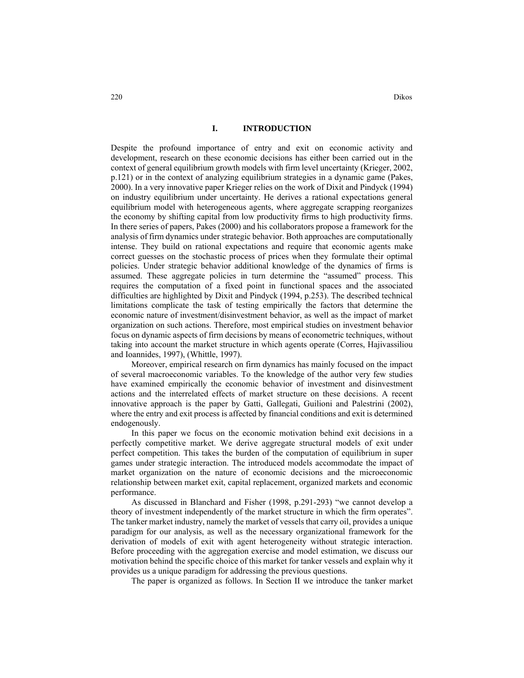## **I. INTRODUCTION**

Despite the profound importance of entry and exit on economic activity and development, research on these economic decisions has either been carried out in the context of general equilibrium growth models with firm level uncertainty (Krieger, 2002, p.121) or in the context of analyzing equilibrium strategies in a dynamic game (Pakes, 2000). In a very innovative paper Krieger relies on the work of Dixit and Pindyck (1994) on industry equilibrium under uncertainty. He derives a rational expectations general equilibrium model with heterogeneous agents, where aggregate scrapping reorganizes the economy by shifting capital from low productivity firms to high productivity firms. In there series of papers, Pakes (2000) and his collaborators propose a framework for the analysis of firm dynamics under strategic behavior. Both approaches are computationally intense. They build on rational expectations and require that economic agents make correct guesses on the stochastic process of prices when they formulate their optimal policies. Under strategic behavior additional knowledge of the dynamics of firms is assumed. These aggregate policies in turn determine the "assumed" process. This requires the computation of a fixed point in functional spaces and the associated difficulties are highlighted by Dixit and Pindyck (1994, p.253). The described technical limitations complicate the task of testing empirically the factors that determine the economic nature of investment/disinvestment behavior, as well as the impact of market organization on such actions. Therefore, most empirical studies on investment behavior focus on dynamic aspects of firm decisions by means of econometric techniques, without taking into account the market structure in which agents operate (Corres, Hajivassiliou and Ioannides, 1997), (Whittle, 1997).

Moreover, empirical research on firm dynamics has mainly focused on the impact of several macroeconomic variables. To the knowledge of the author very few studies have examined empirically the economic behavior of investment and disinvestment actions and the interrelated effects of market structure on these decisions. A recent innovative approach is the paper by Gatti, Gallegati, Guilioni and Palestrini (2002), where the entry and exit process is affected by financial conditions and exit is determined endogenously.

In this paper we focus on the economic motivation behind exit decisions in a perfectly competitive market. We derive aggregate structural models of exit under perfect competition. This takes the burden of the computation of equilibrium in super games under strategic interaction. The introduced models accommodate the impact of market organization on the nature of economic decisions and the microeconomic relationship between market exit, capital replacement, organized markets and economic performance.

As discussed in Blanchard and Fisher (1998, p.291-293) "we cannot develop a theory of investment independently of the market structure in which the firm operates". The tanker market industry, namely the market of vessels that carry oil, provides a unique paradigm for our analysis, as well as the necessary organizational framework for the derivation of models of exit with agent heterogeneity without strategic interaction. Before proceeding with the aggregation exercise and model estimation, we discuss our motivation behind the specific choice of this market for tanker vessels and explain why it provides us a unique paradigm for addressing the previous questions.

The paper is organized as follows. In Section II we introduce the tanker market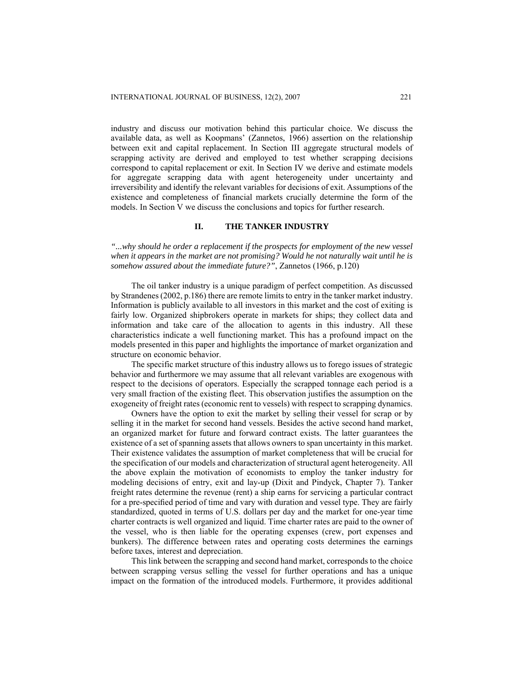industry and discuss our motivation behind this particular choice. We discuss the available data, as well as Koopmans' (Zannetos, 1966) assertion on the relationship between exit and capital replacement. In Section III aggregate structural models of scrapping activity are derived and employed to test whether scrapping decisions correspond to capital replacement or exit. In Section IV we derive and estimate models for aggregate scrapping data with agent heterogeneity under uncertainty and irreversibility and identify the relevant variables for decisions of exit. Assumptions of the existence and completeness of financial markets crucially determine the form of the models. In Section V we discuss the conclusions and topics for further research.

# **II. THE TANKER INDUSTRY**

*"...why should he order a replacement if the prospects for employment of the new vessel when it appears in the market are not promising? Would he not naturally wait until he is somehow assured about the immediate future?"*, Zannetos (1966, p.120)

The oil tanker industry is a unique paradigm of perfect competition. As discussed by Strandenes (2002, p.186) there are remote limits to entry in the tanker market industry. Information is publicly available to all investors in this market and the cost of exiting is fairly low. Organized shipbrokers operate in markets for ships; they collect data and information and take care of the allocation to agents in this industry. All these characteristics indicate a well functioning market. This has a profound impact on the models presented in this paper and highlights the importance of market organization and structure on economic behavior.

The specific market structure of this industry allows us to forego issues of strategic behavior and furthermore we may assume that all relevant variables are exogenous with respect to the decisions of operators. Especially the scrapped tonnage each period is a very small fraction of the existing fleet. This observation justifies the assumption on the exogeneity of freight rates (economic rent to vessels) with respect to scrapping dynamics.

Owners have the option to exit the market by selling their vessel for scrap or by selling it in the market for second hand vessels. Besides the active second hand market, an organized market for future and forward contract exists. The latter guarantees the existence of a set of spanning assets that allows owners to span uncertainty in this market. Their existence validates the assumption of market completeness that will be crucial for the specification of our models and characterization of structural agent heterogeneity. All the above explain the motivation of economists to employ the tanker industry for modeling decisions of entry, exit and lay-up (Dixit and Pindyck, Chapter 7). Tanker freight rates determine the revenue (rent) a ship earns for servicing a particular contract for a pre-specified period of time and vary with duration and vessel type. They are fairly standardized, quoted in terms of U.S. dollars per day and the market for one-year time charter contracts is well organized and liquid. Time charter rates are paid to the owner of the vessel, who is then liable for the operating expenses (crew, port expenses and bunkers). The difference between rates and operating costs determines the earnings before taxes, interest and depreciation.

This link between the scrapping and second hand market, corresponds to the choice between scrapping versus selling the vessel for further operations and has a unique impact on the formation of the introduced models. Furthermore, it provides additional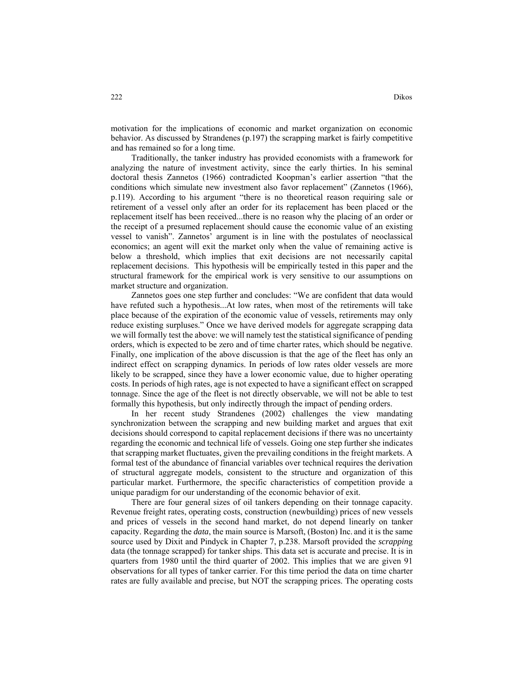motivation for the implications of economic and market organization on economic behavior. As discussed by Strandenes (p.197) the scrapping market is fairly competitive and has remained so for a long time.

Traditionally, the tanker industry has provided economists with a framework for analyzing the nature of investment activity, since the early thirties. In his seminal doctoral thesis Zannetos (1966) contradicted Koopman's earlier assertion "that the conditions which simulate new investment also favor replacement" (Zannetos (1966), p.119). According to his argument "there is no theoretical reason requiring sale or retirement of a vessel only after an order for its replacement has been placed or the replacement itself has been received...there is no reason why the placing of an order or the receipt of a presumed replacement should cause the economic value of an existing vessel to vanish". Zannetos' argument is in line with the postulates of neoclassical economics; an agent will exit the market only when the value of remaining active is below a threshold, which implies that exit decisions are not necessarily capital replacement decisions. This hypothesis will be empirically tested in this paper and the structural framework for the empirical work is very sensitive to our assumptions on market structure and organization.

Zannetos goes one step further and concludes: "We are confident that data would have refuted such a hypothesis...At low rates, when most of the retirements will take place because of the expiration of the economic value of vessels, retirements may only reduce existing surpluses." Once we have derived models for aggregate scrapping data we will formally test the above: we will namely test the statistical significance of pending orders, which is expected to be zero and of time charter rates, which should be negative. Finally, one implication of the above discussion is that the age of the fleet has only an indirect effect on scrapping dynamics. In periods of low rates older vessels are more likely to be scrapped, since they have a lower economic value, due to higher operating costs. In periods of high rates, age is not expected to have a significant effect on scrapped tonnage. Since the age of the fleet is not directly observable, we will not be able to test formally this hypothesis, but only indirectly through the impact of pending orders.

In her recent study Strandenes (2002) challenges the view mandating synchronization between the scrapping and new building market and argues that exit decisions should correspond to capital replacement decisions if there was no uncertainty regarding the economic and technical life of vessels. Going one step further she indicates that scrapping market fluctuates, given the prevailing conditions in the freight markets. A formal test of the abundance of financial variables over technical requires the derivation of structural aggregate models, consistent to the structure and organization of this particular market. Furthermore, the specific characteristics of competition provide a unique paradigm for our understanding of the economic behavior of exit.

There are four general sizes of oil tankers depending on their tonnage capacity. Revenue freight rates, operating costs, construction (newbuilding) prices of new vessels and prices of vessels in the second hand market, do not depend linearly on tanker capacity. Regarding the *data*, the main source is Marsoft, (Boston) Inc. and it is the same source used by Dixit and Pindyck in Chapter 7, p.238. Marsoft provided the *scrappin*g data (the tonnage scrapped) for tanker ships. This data set is accurate and precise. It is in quarters from 1980 until the third quarter of 2002. This implies that we are given 91 observations for all types of tanker carrier. For this time period the data on time charter rates are fully available and precise, but NOT the scrapping prices. The operating costs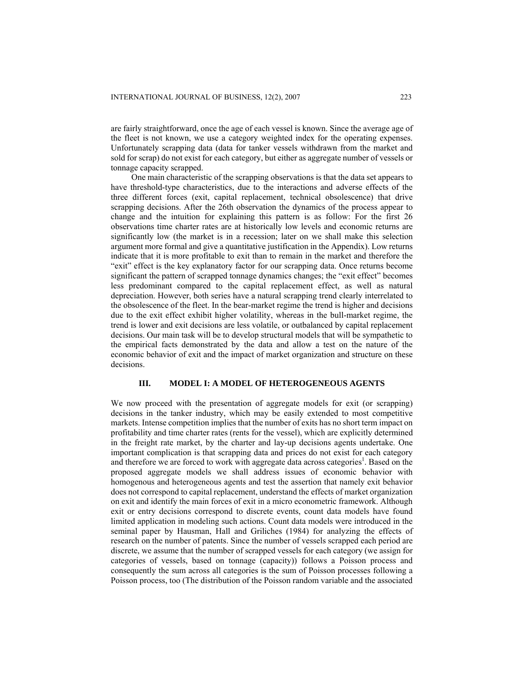are fairly straightforward, once the age of each vessel is known. Since the average age of the fleet is not known, we use a category weighted index for the operating expenses. Unfortunately scrapping data (data for tanker vessels withdrawn from the market and sold for scrap) do not exist for each category, but either as aggregate number of vessels or tonnage capacity scrapped.

One main characteristic of the scrapping observations is that the data set appears to have threshold-type characteristics, due to the interactions and adverse effects of the three different forces (exit, capital replacement, technical obsolescence) that drive scrapping decisions. After the 26th observation the dynamics of the process appear to change and the intuition for explaining this pattern is as follow: For the first 26 observations time charter rates are at historically low levels and economic returns are significantly low (the market is in a recession; later on we shall make this selection argument more formal and give a quantitative justification in the Appendix). Low returns indicate that it is more profitable to exit than to remain in the market and therefore the "exit" effect is the key explanatory factor for our scrapping data. Once returns become significant the pattern of scrapped tonnage dynamics changes; the "exit effect" becomes less predominant compared to the capital replacement effect, as well as natural depreciation. However, both series have a natural scrapping trend clearly interrelated to the obsolescence of the fleet. In the bear-market regime the trend is higher and decisions due to the exit effect exhibit higher volatility, whereas in the bull-market regime, the trend is lower and exit decisions are less volatile, or outbalanced by capital replacement decisions. Our main task will be to develop structural models that will be sympathetic to the empirical facts demonstrated by the data and allow a test on the nature of the economic behavior of exit and the impact of market organization and structure on these decisions.

# **III. MODEL I: A MODEL OF HETEROGENEOUS AGENTS**

We now proceed with the presentation of aggregate models for exit (or scrapping) decisions in the tanker industry, which may be easily extended to most competitive markets. Intense competition implies that the number of exits has no short term impact on profitability and time charter rates (rents for the vessel), which are explicitly determined in the freight rate market, by the charter and lay-up decisions agents undertake. One important complication is that scrapping data and prices do not exist for each category and therefore we are forced to work with aggregate data across categories<sup>1</sup>. Based on the proposed aggregate models we shall address issues of economic behavior with homogenous and heterogeneous agents and test the assertion that namely exit behavior does not correspond to capital replacement, understand the effects of market organization on exit and identify the main forces of exit in a micro econometric framework. Although exit or entry decisions correspond to discrete events, count data models have found limited application in modeling such actions. Count data models were introduced in the seminal paper by Hausman, Hall and Griliches (1984) for analyzing the effects of research on the number of patents. Since the number of vessels scrapped each period are discrete, we assume that the number of scrapped vessels for each category (we assign for categories of vessels, based on tonnage (capacity)) follows a Poisson process and consequently the sum across all categories is the sum of Poisson processes following a Poisson process, too (The distribution of the Poisson random variable and the associated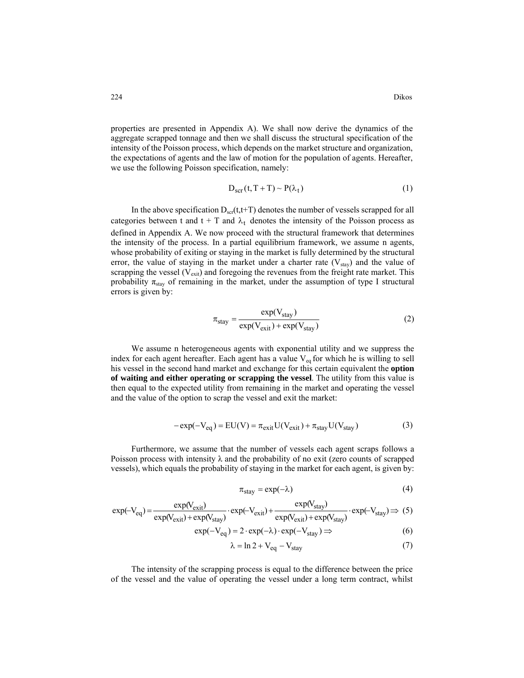properties are presented in Appendix A). We shall now derive the dynamics of the aggregate scrapped tonnage and then we shall discuss the structural specification of the intensity of the Poisson process, which depends on the market structure and organization, the expectations of agents and the law of motion for the population of agents. Hereafter, we use the following Poisson specification, namely:

$$
D_{scr}(t, T + T) \sim P(\lambda_t)
$$
 (1)

In the above specification  $D_{\text{scr}}(t,t+T)$  denotes the number of vessels scrapped for all categories between t and  $t + T$  and  $\lambda_t$  denotes the intensity of the Poisson process as defined in Appendix A. We now proceed with the structural framework that determines the intensity of the process. In a partial equilibrium framework, we assume n agents, whose probability of exiting or staying in the market is fully determined by the structural error, the value of staying in the market under a charter rate  $(V_{stay})$  and the value of scrapping the vessel ( $V_{\text{exit}}$ ) and foregoing the revenues from the freight rate market. This probability  $\pi_{\text{stay}}$  of remaining in the market, under the assumption of type I structural errors is given by:

$$
\pi_{\text{stay}} = \frac{\exp(V_{\text{stay}})}{\exp(V_{\text{exit}}) + \exp(V_{\text{stay}})}\tag{2}
$$

We assume n heterogeneous agents with exponential utility and we suppress the index for each agent hereafter. Each agent has a value  $V_{eq}$  for which he is willing to sell his vessel in the second hand market and exchange for this certain equivalent the **option of waiting and either operating or scrapping the vessel**. The utility from this value is then equal to the expected utility from remaining in the market and operating the vessel and the value of the option to scrap the vessel and exit the market:

$$
-\exp(-V_{eq}) = EU(V) = \pi_{exit}U(V_{exit}) + \pi_{stay}U(V_{stay})
$$
\n(3)

Furthermore, we assume that the number of vessels each agent scraps follows a Poisson process with intensity  $\lambda$  and the probability of no exit (zero counts of scrapped vessels), which equals the probability of staying in the market for each agent, is given by:

$$
\pi_{\text{stay}} = \exp(-\lambda) \tag{4}
$$

$$
\exp(-V_{eq}) = \frac{\exp(V_{exit})}{\exp(V_{exit}) + \exp(V_{stay})} \cdot \exp(-V_{exit}) + \frac{\exp(V_{stay})}{\exp(V_{exit}) + \exp(V_{stay})} \cdot \exp(-V_{stay}) \Rightarrow (5)
$$

$$
\exp(-V_{\text{eq}}) = 2 \cdot \exp(-\lambda) \cdot \exp(-V_{\text{stay}}) \Rightarrow \tag{6}
$$

$$
\lambda = \ln 2 + V_{eq} - V_{stay} \tag{7}
$$

The intensity of the scrapping process is equal to the difference between the price of the vessel and the value of operating the vessel under a long term contract, whilst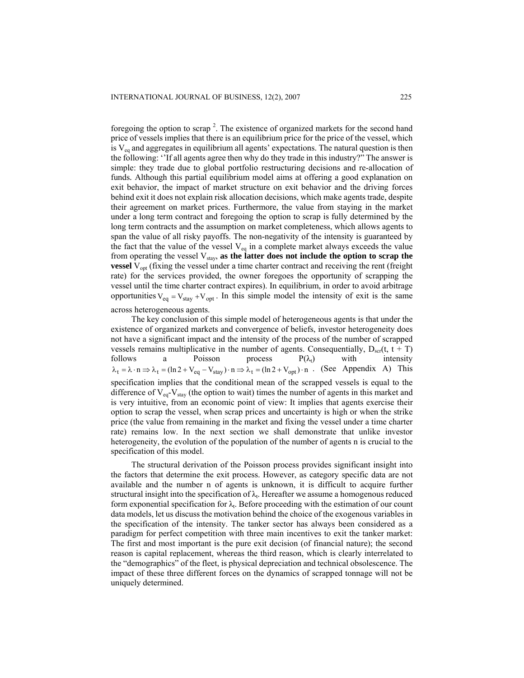foregoing the option to scrap<sup>2</sup>. The existence of organized markets for the second hand price of vessels implies that there is an equilibrium price for the price of the vessel, which is  $V_{eq}$  and aggregates in equilibrium all agents' expectations. The natural question is then the following: ''If all agents agree then why do they trade in this industry?" The answer is simple: they trade due to global portfolio restructuring decisions and re-allocation of funds*.* Although this partial equilibrium model aims at offering a good explanation on exit behavior, the impact of market structure on exit behavior and the driving forces behind exit it does not explain risk allocation decisions, which make agents trade, despite their agreement on market prices. Furthermore, the value from staying in the market under a long term contract and foregoing the option to scrap is fully determined by the long term contracts and the assumption on market completeness, which allows agents to span the value of all risky payoffs. The non-negativity of the intensity is guaranteed by the fact that the value of the vessel  $V_{eq}$  in a complete market always exceeds the value from operating the vessel  $V_{\text{stay}}$ , as the latter does not include the option to scrap the **vessel** V<sub>ont</sub> (fixing the vessel under a time charter contract and receiving the rent (freight) rate) for the services provided, the owner foregoes the opportunity of scrapping the vessel until the time charter contract expires). In equilibrium, in order to avoid arbitrage opportunities  $V_{eq} = V_{stay} + V_{opt}$ . In this simple model the intensity of exit is the same across heterogeneous agents.

The key conclusion of this simple model of heterogeneous agents is that under the existence of organized markets and convergence of beliefs, investor heterogeneity does not have a significant impact and the intensity of the process of the number of scrapped vessels remains multiplicative in the number of agents. Consequentially,  $D_{\text{vert}}(t, t + T)$ follows a Poisson process  $P(\lambda_t)$  with intensity  $\lambda_t = \lambda \cdot n \Rightarrow \lambda_t = (\ln 2 + V_{eq} - V_{stay}) \cdot n \Rightarrow \lambda_t = (\ln 2 + V_{opt}) \cdot n$ . (See Appendix A) This specification implies that the conditional mean of the scrapped vessels is equal to the difference of  $V_{\text{eq}}$ - $V_{\text{stay}}$  (the option to wait) times the number of agents in this market and is very intuitive, from an economic point of view: It implies that agents exercise their option to scrap the vessel, when scrap prices and uncertainty is high or when the strike price (the value from remaining in the market and fixing the vessel under a time charter rate) remains low. In the next section we shall demonstrate that unlike investor heterogeneity, the evolution of the population of the number of agents n is crucial to the specification of this model.

The structural derivation of the Poisson process provides significant insight into the factors that determine the exit process. However, as category specific data are not available and the number n of agents is unknown, it is difficult to acquire further structural insight into the specification of  $\lambda_t$ . Hereafter we assume a homogenous reduced form exponential specification for  $\lambda_t$ . Before proceeding with the estimation of our count data models, let us discuss the motivation behind the choice of the exogenous variables in the specification of the intensity. The tanker sector has always been considered as a paradigm for perfect competition with three main incentives to exit the tanker market: The first and most important is the pure exit decision (of financial nature); the second reason is capital replacement, whereas the third reason, which is clearly interrelated to the "demographics" of the fleet, is physical depreciation and technical obsolescence. The impact of these three different forces on the dynamics of scrapped tonnage will not be uniquely determined.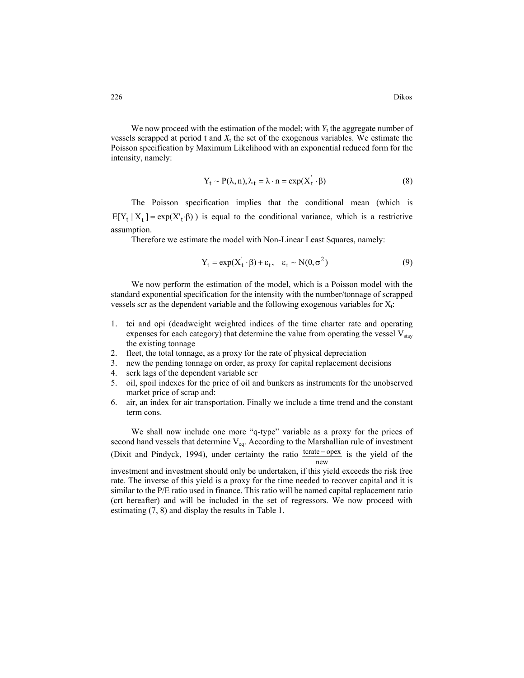We now proceed with the estimation of the model; with  $Y_t$  the aggregate number of vessels scrapped at period t and  $X_t$  the set of the exogenous variables. We estimate the Poisson specification by Maximum Likelihood with an exponential reduced form for the intensity, namely:

$$
Y_t \sim P(\lambda, n), \lambda_t = \lambda \cdot n = \exp(X_t' \cdot \beta)
$$
 (8)

The Poisson specification implies that the conditional mean (which is  $E[Y_t | X_t] = \exp(X'_t \cdot \beta)$  is equal to the conditional variance, which is a restrictive assumption.

Therefore we estimate the model with Non-Linear Least Squares, namely:

$$
Y_t = \exp(X_t' \cdot \beta) + \varepsilon_t, \quad \varepsilon_t \sim N(0, \sigma^2)
$$
 (9)

We now perform the estimation of the model, which is a Poisson model with the standard exponential specification for the intensity with the number/tonnage of scrapped vessels scr as the dependent variable and the following exogenous variables for  $X_t$ :

- 1. tci and opi (deadweight weighted indices of the time charter rate and operating expenses for each category) that determine the value from operating the vessel  $V_{\text{star}}$ the existing tonnage
- 2. fleet, the total tonnage, as a proxy for the rate of physical depreciation
- 3. new the pending tonnage on order, as proxy for capital replacement decisions
- 4. scrk lags of the dependent variable scr
- 5. oil, spoil indexes for the price of oil and bunkers as instruments for the unobserved market price of scrap and:
- 6. air, an index for air transportation. Finally we include a time trend and the constant term cons.

We shall now include one more "q-type" variable as a proxy for the prices of second hand vessels that determine  $V_{eq}$ . According to the Marshallian rule of investment (Dixit and Pindyck, 1994), under certainty the ratio  $\frac{\text{tcrate} - \text{opex}}{\text{new}}$  is the yield of the

investment and investment should only be undertaken, if this yield exceeds the risk free rate. The inverse of this yield is a proxy for the time needed to recover capital and it is similar to the P/E ratio used in finance. This ratio will be named capital replacement ratio (crt hereafter) and will be included in the set of regressors. We now proceed with estimating (7, 8) and display the results in Table 1.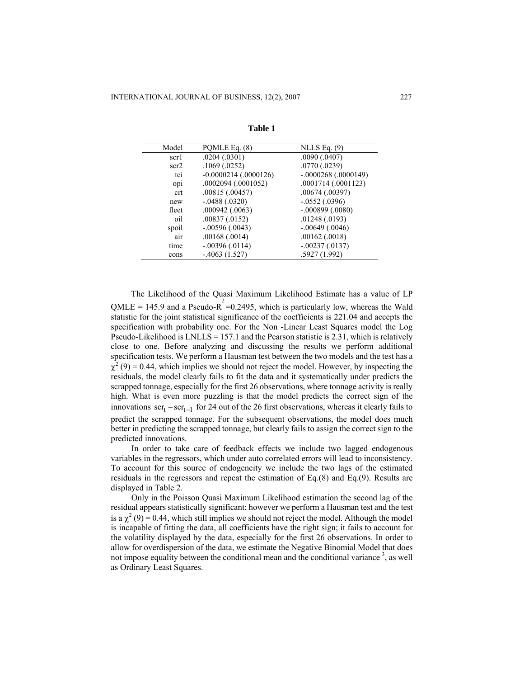| Model | POMLE Eq. (8)           | NLLS Eq. $(9)$        |
|-------|-------------------------|-----------------------|
| scr1  | .0204(.0301)            | .0090(.0407)          |
| scr2  | .1069(.0252)            | .0770(.0239)          |
| tci   | $-0.0000214$ (.0000126) | $-.0000268(.0000149)$ |
| opi   | $.0002094$ $(.0001052)$ | .0001714 (.0001123)   |
| crt   | .00815(.00457)          | .00674(.00397)        |
| new   | $-.0488(.0320)$         | $-.0552(.0396)$       |
| fleet | $.000942$ $(.0063)$     | $-.000899$ $(.0080)$  |
| oil   | $.00837 \,(.0152)$      | .01248(.0193)         |
| spoil | $-.00596(.0043)$        | $-0.00649$ (.0046)    |
| air   | .00168(.0014)           | .00162(.0018)         |
| time  | $-.00396(.0114)$        | $-.00237(.0137)$      |
| cons  | $-4063(1.527)$          | .5927 (1.992)         |

**Table 1** 

The Likelihood of the Quasi Maximum Likelihood Estimate has a value of LP QMLE = 145.9 and a Pseudo-R<sup>2</sup> = 0.2495, which is particularly low, whereas the Wald statistic for the joint statistical significance of the coefficients is 221.04 and accepts the specification with probability one. For the Non -Linear Least Squares model the Log Pseudo-Likelihood is  $LNLLS = 157.1$  and the Pearson statistic is 2.31, which is relatively close to one. Before analyzing and discussing the results we perform additional specification tests. We perform a Hausman test between the two models and the test has a  $\chi^2$  (9) = 0.44, which implies we should not reject the model. However, by inspecting the residuals, the model clearly fails to fit the data and it systematically under predicts the scrapped tonnage, especially for the first 26 observations, where tonnage activity is really high. What is even more puzzling is that the model predicts the correct sign of the innovations  $\text{scr}_{t}$  –  $\text{scr}_{t-1}$  for 24 out of the 26 first observations, whereas it clearly fails to predict the scrapped tonnage. For the subsequent observations, the model does much better in predicting the scrapped tonnage, but clearly fails to assign the correct sign to the predicted innovations.

In order to take care of feedback effects we include two lagged endogenous variables in the regressors, which under auto correlated errors will lead to inconsistency. To account for this source of endogeneity we include the two lags of the estimated residuals in the regressors and repeat the estimation of Eq.(8) and Eq.(9). Results are displayed in Table 2.

Only in the Poisson Quasi Maximum Likelihood estimation the second lag of the residual appears statistically significant; however we perform a Hausman test and the test is a  $\chi^2$  (9) = 0.44, which still implies we should not reject the model. Although the model is incapable of fitting the data, all coefficients have the right sign; it fails to account for the volatility displayed by the data, especially for the first 26 observations. In order to allow for overdispersion of the data, we estimate the Negative Binomial Model that does not impose equality between the conditional mean and the conditional variance  $3$ , as well as Ordinary Least Squares.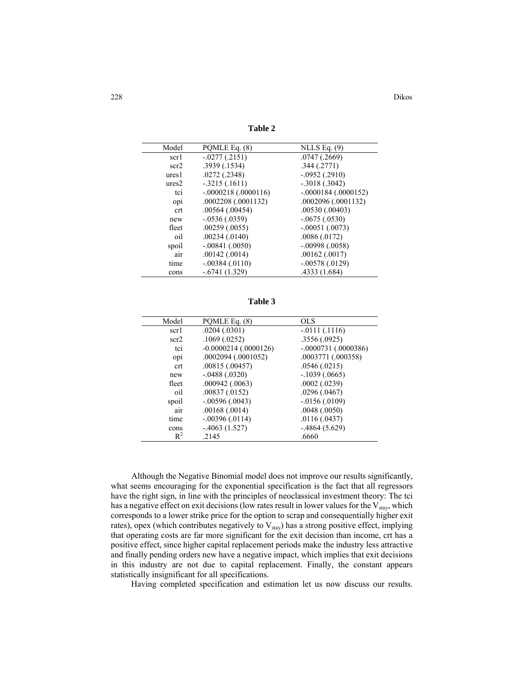**Table 2** 

| Model             | POMLE Eq. (8)           | NLLS Eq. $(9)$        |
|-------------------|-------------------------|-----------------------|
| scr1              | $-.0277(.2151)$         | $.0747$ $(.2669)$     |
| scr2              | .3939(.1534)            | .344(.2771)           |
| ures <sub>1</sub> | .0272(.2348)            | $-.0952(.2910)$       |
| ures <sub>2</sub> | $-.3215(.1611)$         | $-.3018(.3042)$       |
| tci               | $-.0000218(.0000116)$   | $-.0000184(.0000152)$ |
| opi               | $.0002208$ $(.0001132)$ | .0002096 (.0001132)   |
| crt               | $.00564$ $(.00454)$     | $.00530$ $(.00403)$   |
| new               | $-0.0536(0.0359)$       | $-.0675(.0530)$       |
| fleet             | $.00259$ $(.0055)$      | $-.00051(.0073)$      |
| oil               | $.00234$ $(.0140)$      | .0086(.0172)          |
| spoil             | $-.00841(.0050)$        | $-.00998(.0058)$      |
| air               | $.00142$ $(.0014)$      | .00162(.0017)         |
| time              | $-.00384(.0110)$        | $-.00578(.0129)$      |
| cons              | $-.6741(1.329)$         | .4333 (1.684)         |
|                   |                         |                       |

**Table 3** 

| Model | PQMLE Eq. (8)           | OLS                   |
|-------|-------------------------|-----------------------|
| scr1  | .0204(.0301)            | $-0111(.1116)$        |
| scr2  | .1069(.0252)            | .3556(.0925)          |
| tci   | $-0.0000214$ (.0000126) | $-.0000731(.0000386)$ |
| opi   | $.0002094$ $(.0001052)$ | .0003771 (.000358)    |
| crt   | .00815(.00457)          | .0546(.0215)          |
| new   | $-.0488(.0320)$         | $-.1039(.0665)$       |
| fleet | $.000942$ $(.0063)$     | .0002(.0239)          |
| oil   | .00837(.0152)           | .0296(.0467)          |
| spoil | $-.00596(.0043)$        | $-.0156(.0109)$       |
| air   | .00168(.0014)           | .0048(.0050)          |
| time  | $-.00396(.0114)$        | .0116(.0437)          |
| cons  | $-4063(1.527)$          | $-0.4864(5.629)$      |
| $R^2$ | .2145                   | .6660                 |

Although the Negative Binomial model does not improve our results significantly, what seems encouraging for the exponential specification is the fact that all regressors have the right sign, in line with the principles of neoclassical investment theory: The tci has a negative effect on exit decisions (low rates result in lower values for the  $V_{\text{stay}}$ , which corresponds to a lower strike price for the option to scrap and consequentially higher exit rates), opex (which contributes negatively to  $V_{stay}$ ) has a strong positive effect, implying that operating costs are far more significant for the exit decision than income, crt has a positive effect, since higher capital replacement periods make the industry less attractive and finally pending orders new have a negative impact, which implies that exit decisions in this industry are not due to capital replacement. Finally, the constant appears statistically insignificant for all specifications.

Having completed specification and estimation let us now discuss our results.

228 Dikos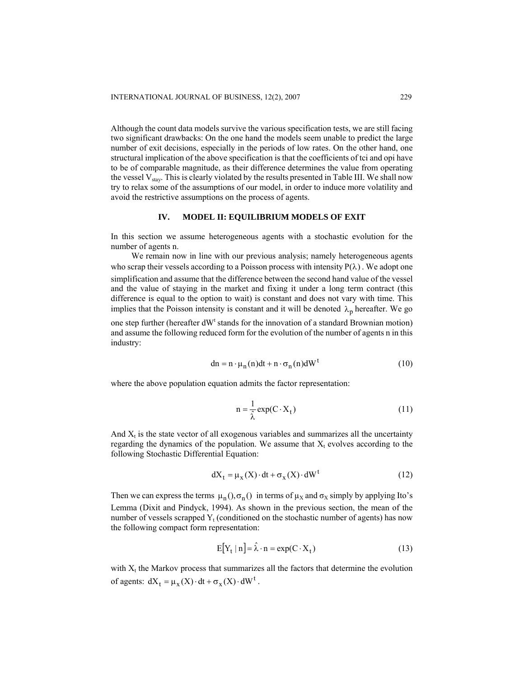Although the count data models survive the various specification tests, we are still facing two significant drawbacks: On the one hand the models seem unable to predict the large number of exit decisions, especially in the periods of low rates. On the other hand, one structural implication of the above specification is that the coefficients of tci and opi have to be of comparable magnitude, as their difference determines the value from operating the vessel  $V_{\text{stav}}$ . This is clearly violated by the results presented in Table III. We shall now try to relax some of the assumptions of our model, in order to induce more volatility and avoid the restrictive assumptions on the process of agents.

## **IV. MODEL II: EQUILIBRIUM MODELS OF EXIT**

In this section we assume heterogeneous agents with a stochastic evolution for the number of agents n.

We remain now in line with our previous analysis; namely heterogeneous agents who scrap their vessels according to a Poisson process with intensity  $P(\lambda)$ . We adopt one simplification and assume that the difference between the second hand value of the vessel and the value of staying in the market and fixing it under a long term contract (this difference is equal to the option to wait) is constant and does not vary with time. This implies that the Poisson intensity is constant and it will be denoted  $\lambda_p$  hereafter. We go one step further (hereafter  $dW<sup>t</sup>$  stands for the innovation of a standard Brownian motion)

and assume the following reduced form for the evolution of the number of agents n in this industry:

$$
dn = n \cdot \mu_n(n)dt + n \cdot \sigma_n(n)dW^t
$$
 (10)

where the above population equation admits the factor representation:

$$
n = \frac{1}{\hat{\lambda}} \exp(C \cdot X_t)
$$
 (11)

And  $X_t$  is the state vector of all exogenous variables and summarizes all the uncertainty regarding the dynamics of the population. We assume that  $X_t$  evolves according to the following Stochastic Differential Equation:

$$
dX_t = \mu_X(X) \cdot dt + \sigma_X(X) \cdot dW^t \tag{12}
$$

Then we can express the terms  $\mu_n(), \sigma_n()$  in terms of  $\mu_X$  and  $\sigma_X$  simply by applying Ito's Lemma (Dixit and Pindyck, 1994). As shown in the previous section, the mean of the number of vessels scrapped  $Y_t$  (conditioned on the stochastic number of agents) has now the following compact form representation:

$$
E[Y_t | n] = \hat{\lambda} \cdot n = \exp(C \cdot X_t)
$$
 (13)

with  $X_t$  the Markov process that summarizes all the factors that determine the evolution of agents:  $dX_t = \mu_X(X) \cdot dt + \sigma_X(X) \cdot dW^t$ .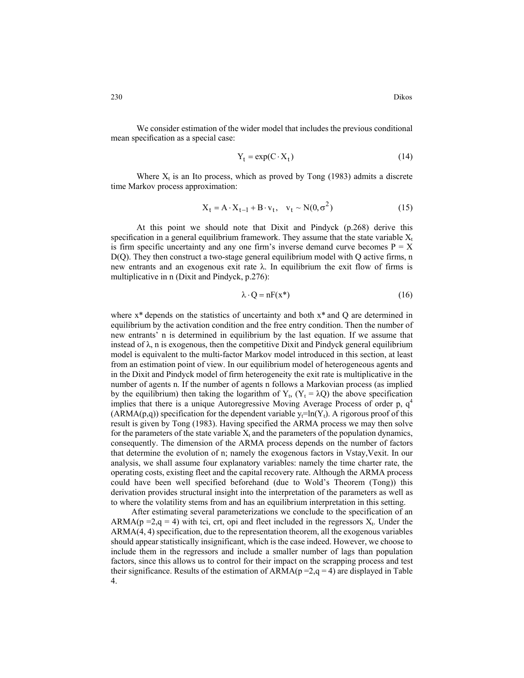$$
Y_t = \exp(C \cdot X_t) \tag{14}
$$

Where  $X_t$  is an Ito process, which as proved by Tong (1983) admits a discrete time Markov process approximation:

$$
X_t = A \cdot X_{t-1} + B \cdot v_t, \quad v_t \sim N(0, \sigma^2)
$$
 (15)

At this point we should note that Dixit and Pindyck (p.268) derive this specification in a general equilibrium framework. They assume that the state variable  $X_t$ is firm specific uncertainty and any one firm's inverse demand curve becomes  $P = X$ D(Q). They then construct a two-stage general equilibrium model with Q active firms, n new entrants and an exogenous exit rate  $\lambda$ . In equilibrium the exit flow of firms is multiplicative in n (Dixit and Pindyck, p.276):

$$
\lambda \cdot Q = nF(x^*) \tag{16}
$$

where  $x^*$  depends on the statistics of uncertainty and both  $x^*$  and Q are determined in equilibrium by the activation condition and the free entry condition. Then the number of new entrants' n is determined in equilibrium by the last equation. If we assume that instead of  $\lambda$ , n is exogenous, then the competitive Dixit and Pindyck general equilibrium model is equivalent to the multi-factor Markov model introduced in this section, at least from an estimation point of view. In our equilibrium model of heterogeneous agents and in the Dixit and Pindyck model of firm heterogeneity the exit rate is multiplicative in the number of agents n. If the number of agents n follows a Markovian process (as implied by the equilibrium) then taking the logarithm of  $Y_t$ ,  $(Y_t = \lambda Q)$  the above specification implies that there is a unique Autoregressive Moving Average Process of order p,  $q<sup>4</sup>$ (ARMA(p,q)) specification for the dependent variable  $y_t=ln(Y_t)$ . A rigorous proof of this result is given by Tong (1983). Having specified the ARMA process we may then solve for the parameters of the state variable  $X_t$  and the parameters of the population dynamics, consequently. The dimension of the ARMA process depends on the number of factors that determine the evolution of n; namely the exogenous factors in Vstay,Vexit. In our analysis, we shall assume four explanatory variables: namely the time charter rate, the operating costs, existing fleet and the capital recovery rate. Although the ARMA process could have been well specified beforehand (due to Wold's Theorem (Tong)) this derivation provides structural insight into the interpretation of the parameters as well as to where the volatility stems from and has an equilibrium interpretation in this setting.

After estimating several parameterizations we conclude to the specification of an ARMA( $p = 2$ , $q = 4$ ) with tci, crt, opi and fleet included in the regressors  $X_t$ . Under the ARMA(4, 4) specification, due to the representation theorem, all the exogenous variables should appear statistically insignificant, which is the case indeed. However, we choose to include them in the regressors and include a smaller number of lags than population factors, since this allows us to control for their impact on the scrapping process and test their significance. Results of the estimation of  $ARMA(p=2,q=4)$  are displayed in Table 4.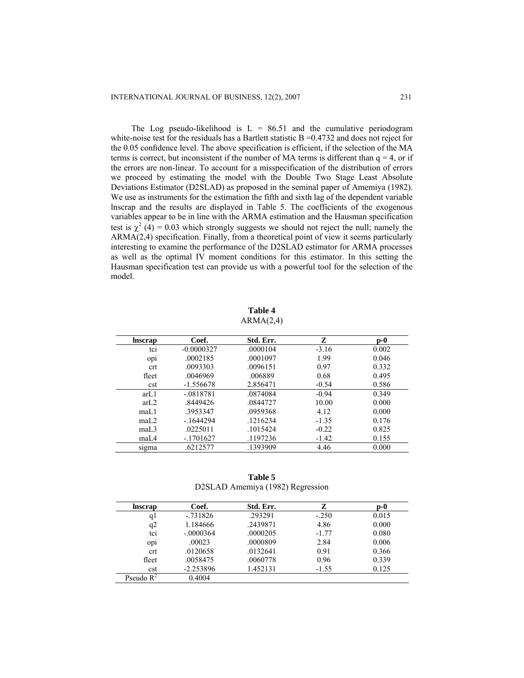The Log pseudo-likelihood is  $L = 86.51$  and the cumulative periodogram white-noise test for the residuals has a Bartlett statistic  $B = 0.4732$  and does not reject for the 0.05 confidence level. The above specification is efficient, if the selection of the MA terms is correct, but inconsistent if the number of MA terms is different than  $q = 4$ , or if the errors are non-linear. To account for a misspecification of the distribution of errors we proceed by estimating the model with the Double Two Stage Least Absolute Deviations Estimator (D2SLAD) as proposed in the seminal paper of Amemiya (1982). We use as instruments for the estimation the fifth and sixth lag of the dependent variable lnscrap and the results are displayed in Table 5. The coefficients of the exogenous variables appear to be in line with the ARMA estimation and the Hausman specification test is  $\chi^2$  (4) = 0.03 which strongly suggests we should not reject the null; namely the ARMA(2,4) specification. Finally, from a theoretical point of view it seems particularly interesting to examine the performance of the D2SLAD estimator for ARMA processes as well as the optimal IV moment conditions for this estimator. In this setting the Hausman specification test can provide us with a powerful tool for the selection of the model.

**Table 4**   $ARMA(2,4)$ 

| <b>Inscrap</b>   | Coef.        | Std. Err. | Z       | $\mathbf{p}\text{-}\mathbf{0}$ |
|------------------|--------------|-----------|---------|--------------------------------|
| tci              | $-0.0000327$ | .0000104  | $-3.16$ | 0.002                          |
| op <sub>1</sub>  | .0002185     | .0001097  | 1.99    | 0.046                          |
| crt              | .0093303     | .0096151  | 0.97    | 0.332                          |
| fleet            | .0046969     | .006889   | 0.68    | 0.495                          |
| cst              | $-1.556678$  | 2.856471  | $-0.54$ | 0.586                          |
| arL <sub>1</sub> | $-.0818781$  | .0874084  | $-0.94$ | 0.349                          |
| arL2             | .8449426     | .0844727  | 10.00   | 0.000                          |
| maL1             | .3953347     | .0959368  | 4.12    | 0.000                          |
| maL.2            | $-1644294$   | .1216234  | $-1.35$ | 0.176                          |
| maL.3            | .0225011     | .1015424  | $-0.22$ | 0.825                          |
| maL4             | $-1701627$   | .1197236  | $-1.42$ | 0.155                          |
| sigma            | .6212577     | .1393909  | 4.46    | 0.000                          |

**Table 5**  D2SLAD Amemiya (1982) Regression

| <b>Inscrap</b>  | Coef.       | Std. Err. | z       | D-0   |
|-----------------|-------------|-----------|---------|-------|
| q l             | $-0.731826$ | .293291   | $-.250$ | 0.015 |
| q2              | 1.184666    | .2439871  | 4.86    | 0.000 |
| tci             | $-.0000364$ | .0000205  | $-1.77$ | 0.080 |
| op <sub>1</sub> | .00023      | .0000809  | 2.84    | 0.006 |
| crt             | .0120658    | .0132641  | 0.91    | 0.366 |
| fleet           | .0058475    | .0060778  | 0.96    | 0.339 |
| cst             | $-2.253896$ | 1.452131  | $-1.55$ | 0.125 |
| Pseudo $R^2$    | 0.4004      |           |         |       |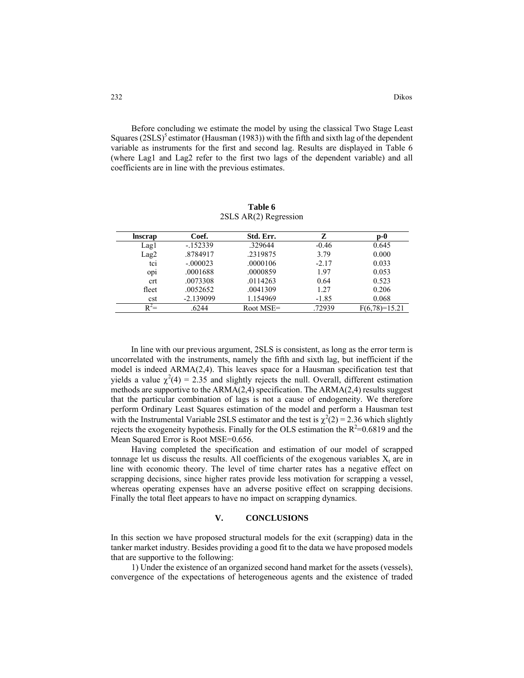Before concluding we estimate the model by using the classical Two Stage Least Squares  $(2SLS)^5$  estimator (Hausman (1983)) with the fifth and sixth lag of the dependent variable as instruments for the first and second lag. Results are displayed in Table 6 (where Lag1 and Lag2 refer to the first two lags of the dependent variable) and all coefficients are in line with the previous estimates.

| <b>Inscrap</b>  | Coef.       | Std. Err.    | z       | p-0             |
|-----------------|-------------|--------------|---------|-----------------|
| Lag1            | $-152339$   | .329644      | $-0.46$ | 0.645           |
| Lag2            | .8784917    | .2319875     | 3.79    | 0.000           |
| tci             | $-.000023$  | .0000106     | $-2.17$ | 0.033           |
| op <sub>1</sub> | .0001688    | .0000859     | 1.97    | 0.053           |
| crt             | .0073308    | .0114263     | 0.64    | 0.523           |
| fleet           | .0052652    | .0041309     | 1.27    | 0.206           |
| cst             | $-2.139099$ | 1.154969     | $-1.85$ | 0.068           |
| $R^2=$          | .6244       | Root $MSE =$ | .72939  | $F(6,78)=15.21$ |

**Table 6**  2SLS AR(2) Regression

In line with our previous argument, 2SLS is consistent, as long as the error term is uncorrelated with the instruments, namely the fifth and sixth lag, but inefficient if the model is indeed ARMA(2,4). This leaves space for a Hausman specification test that yields a value  $\chi^2(4) = 2.35$  and slightly rejects the null. Overall, different estimation methods are supportive to the ARMA(2,4) specification. The ARMA(2,4) results suggest that the particular combination of lags is not a cause of endogeneity. We therefore perform Ordinary Least Squares estimation of the model and perform a Hausman test with the Instrumental Variable 2SLS estimator and the test is  $\chi^2(2) = 2.36$  which slightly rejects the exogeneity hypothesis. Finally for the OLS estimation the  $R^2$ =0.6819 and the Mean Squared Error is Root MSE=0.656.

Having completed the specification and estimation of our model of scrapped tonnage let us discuss the results. All coefficients of the exogenous variables  $X_t$  are in line with economic theory. The level of time charter rates has a negative effect on scrapping decisions, since higher rates provide less motivation for scrapping a vessel, whereas operating expenses have an adverse positive effect on scrapping decisions. Finally the total fleet appears to have no impact on scrapping dynamics.

## **V. CONCLUSIONS**

In this section we have proposed structural models for the exit (scrapping) data in the tanker market industry. Besides providing a good fit to the data we have proposed models that are supportive to the following:

1) Under the existence of an organized second hand market for the assets (vessels), convergence of the expectations of heterogeneous agents and the existence of traded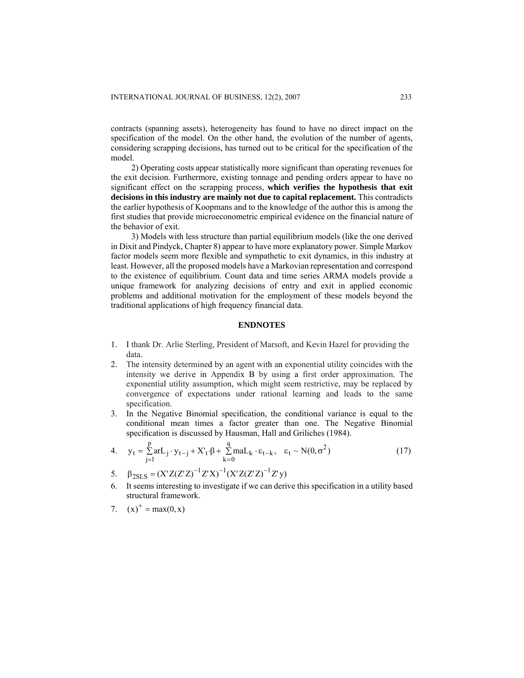contracts (spanning assets), heterogeneity has found to have no direct impact on the specification of the model. On the other hand, the evolution of the number of agents, considering scrapping decisions, has turned out to be critical for the specification of the model.

2) Operating costs appear statistically more significant than operating revenues for the exit decision. Furthermore, existing tonnage and pending orders appear to have no significant effect on the scrapping process, **which verifies the hypothesis that exit decisions in this industry are mainly not due to capital replacement.** This contradicts the earlier hypothesis of Koopmans and to the knowledge of the author this is among the first studies that provide microeconometric empirical evidence on the financial nature of the behavior of exit.

3) Models with less structure than partial equilibrium models (like the one derived in Dixit and Pindyck, Chapter 8) appear to have more explanatory power. Simple Markov factor models seem more flexible and sympathetic to exit dynamics, in this industry at least. However, all the proposed models have a Markovian representation and correspond to the existence of equilibrium. Count data and time series ARMA models provide a unique framework for analyzing decisions of entry and exit in applied economic problems and additional motivation for the employment of these models beyond the traditional applications of high frequency financial data.

### **ENDNOTES**

- 1. I thank Dr. Arlie Sterling, President of Marsoft, and Kevin Hazel for providing the data.
- 2. The intensity determined by an agent with an exponential utility coincides with the intensity we derive in Appendix B by using a first order approximation. The exponential utility assumption, which might seem restrictive, may be replaced by convergence of expectations under rational learning and leads to the same specification.
- 3. In the Negative Binomial specification, the conditional variance is equal to the conditional mean times a factor greater than one. The Negative Binomial specification is discussed by Hausman, Hall and Griliches (1984).
- 4.  $y_t = \sum_{i=1}^{p} arL_i y_{t-j} + X'_t \cdot \beta + \sum_{i=1}^{q} maL_k \cdot \varepsilon_{t-k}, \quad \varepsilon_t \sim N(0, \sigma^2)$  (17) q  $t-j + \Lambda_t \cdot p + \sum_{k=0}^{n} m a L_k$ p  $t_{t} = \sum_{j=1}^{6} a r L_j \cdot y_{t-j} + X'_t \cdot \beta + \sum_{k=0}^{6} m a L_k \cdot \varepsilon_{t-k}, \quad \varepsilon_t \sim N(0, \sigma)$
- 5.  $\beta_{2SLS} = (X'Z(Z'Z)^{-1}Z'X)^{-1}(X'Z(Z'Z)^{-1}Z'y)$
- 6. It seems interesting to investigate if we can derive this specification in a utility based structural framework.
- 7.  $(x)^+ = max(0, x)$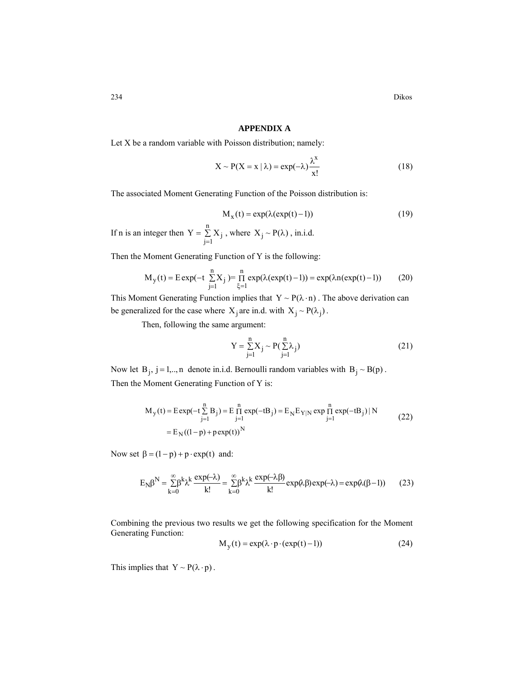## **APPENDIX A**

Let X be a random variable with Poisson distribution; namely:

$$
X \sim P(X = x | \lambda) = \exp(-\lambda) \frac{\lambda^{x}}{x!}
$$
 (18)

The associated Moment Generating Function of the Poisson distribution is:

$$
M_x(t) = \exp(\lambda(\exp(t)-1))\tag{19}
$$

If n is an integer then  $Y = \sum X_i$ , where  $X_i \sim P(\lambda)$ , in.i.d. = n  $Y = \sum_{j=1} X_j$ , where  $X_j \sim P(\lambda)$ 

Then the Moment Generating Function of Y is the following:

$$
M_{y}(t) = E \exp(-t \sum_{j=1}^{n} X_{j}) = \prod_{\xi=1}^{n} \exp(\lambda(\exp(t) - 1)) = \exp(\lambda n(\exp(t) - 1))
$$
 (20)

This Moment Generating Function implies that  $Y \sim P(\lambda \cdot n)$ . The above derivation can be generalized for the case where  $X_i$  are in.d. with  $X_i \sim P(\lambda_i)$ .

Then, following the same argument:

$$
Y = \sum_{j=1}^{n} X_j \sim P(\sum_{j=1}^{n} \lambda_j)
$$
 (21)

Now let  $B_j$ ,  $j = 1,..,n$  denote in.i.d. Bernoulli random variables with  $B_j \sim B(p)$ . Then the Moment Generating Function of Y is:

$$
M_{y}(t) = \text{Exp}(-t \sum_{j=1}^{n} B_{j}) = E \prod_{j=1}^{n} \exp(-tB_{j}) = E_{N} E_{Y|N} \exp \prod_{j=1}^{n} \exp(-tB_{j}) | N
$$
  
=  $E_{N}((1-p) + p \exp(t))^{N}$  (22)

Now set  $\beta = (1-p) + p \cdot \exp(t)$  and:

$$
E_N \beta^N = \sum_{k=0}^{\infty} \beta^k \lambda^k \frac{\exp(-\lambda)}{k!} = \sum_{k=0}^{\infty} \beta^k \lambda^k \frac{\exp(-\lambda \beta)}{k!} \exp(\lambda \beta) \exp(-\lambda) = \exp(\lambda(\beta - 1))
$$
 (23)

Combining the previous two results we get the following specification for the Moment Generating Function:

$$
M_{y}(t) = \exp(\lambda \cdot p \cdot (\exp(t) - 1))
$$
\n(24)

This implies that  $Y \sim P(\lambda \cdot p)$ .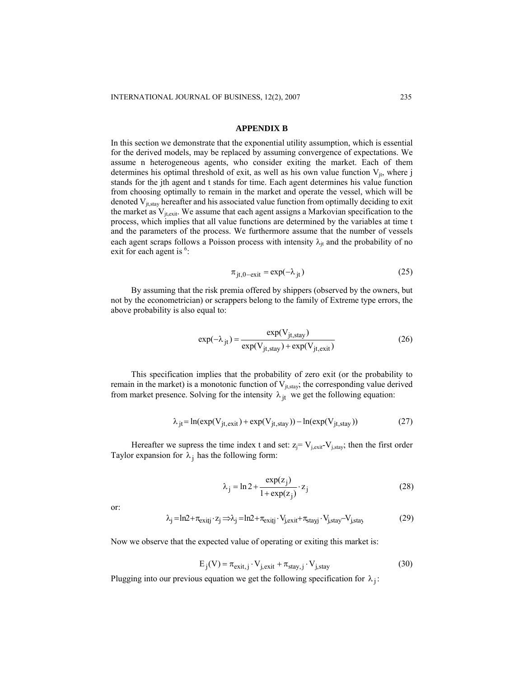#### **APPENDIX B**

In this section we demonstrate that the exponential utility assumption, which is essential for the derived models, may be replaced by assuming convergence of expectations. We assume n heterogeneous agents, who consider exiting the market. Each of them determines his optimal threshold of exit, as well as his own value function  $V_{it}$ , where j stands for the jth agent and t stands for time. Each agent determines his value function from choosing optimally to remain in the market and operate the vessel, which will be denoted  $V_{jt,stay}$  hereafter and his associated value function from optimally deciding to exit the market as  $V_{i, \text{exit}}$ . We assume that each agent assigns a Markovian specification to the process, which implies that all value functions are determined by the variables at time t and the parameters of the process. We furthermore assume that the number of vessels each agent scraps follows a Poisson process with intensity  $\lambda_{it}$  and the probability of no exit for each agent is  $6$ :

$$
\pi_{\text{jt},0-\text{exit}} = \exp(-\lambda_{\text{jt}}) \tag{25}
$$

By assuming that the risk premia offered by shippers (observed by the owners, but not by the econometrician) or scrappers belong to the family of Extreme type errors, the above probability is also equal to:

$$
\exp(-\lambda_{jt}) = \frac{\exp(V_{jt,stay})}{\exp(V_{jt,stay}) + \exp(V_{jt,exit})}
$$
(26)

This specification implies that the probability of zero exit (or the probability to remain in the market) is a monotonic function of  $V_{jt,stay}$ ; the corresponding value derived from market presence. Solving for the intensity  $\lambda_{jt}$  we get the following equation:

$$
\lambda_{jt} = \ln(\exp(V_{jt, exit}) + \exp(V_{jt, stay})) - \ln(\exp(V_{jt, stay}))
$$
\n(27)

Hereafter we supress the time index t and set:  $z_j = V_{j, \text{exit}} - V_{j, \text{stay}}$ ; then the first order Taylor expansion for  $\lambda_i$  has the following form:

$$
\lambda_j = \ln 2 + \frac{\exp(z_j)}{1 + \exp(z_j)} \cdot z_j \tag{28}
$$

or:

$$
\lambda_j = ln2 + \pi_{exitj} \cdot z_j \Longrightarrow_{j} = ln2 + \pi_{exitj} \cdot V_{j,exit} + \pi_{stayj} \cdot V_{j,stay} - V_{j,stay} \tag{29}
$$

Now we observe that the expected value of operating or exiting this market is:

$$
E_j(V) = \pi_{exit, j} \cdot V_{j, exit} + \pi_{stay, j} \cdot V_{j, stay}
$$
 (30)

Plugging into our previous equation we get the following specification for  $\lambda_i$ :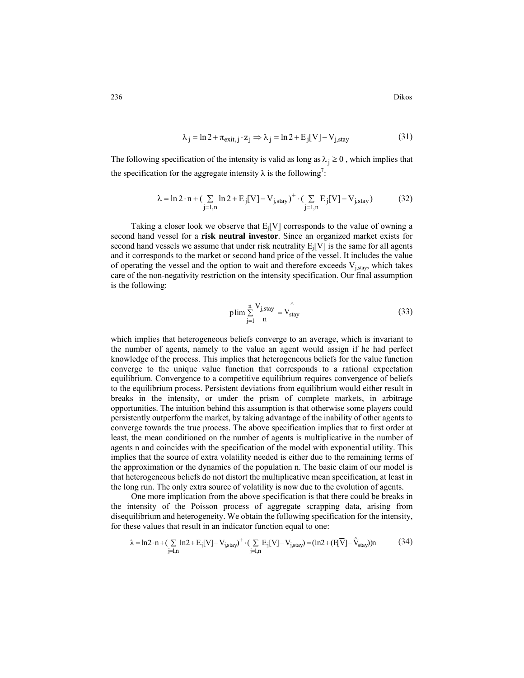$$
\lambda_j = \ln 2 + \pi_{\text{exit},j} \cdot z_j \Rightarrow \lambda_j = \ln 2 + E_j[V] - V_{j,\text{stay}} \tag{31}
$$

The following specification of the intensity is valid as long as  $\lambda_i \geq 0$ , which implies that the specification for the aggregate intensity  $\lambda$  is the following<sup>7</sup>:

$$
\lambda = \ln 2 \cdot n + (\sum_{j=1,n} \ln 2 + E_j[V] - V_{j,stay})^+ \cdot (\sum_{j=1,n} E_j[V] - V_{j,stay})
$$
(32)

Taking a closer look we observe that  $E_i[V]$  corresponds to the value of owning a second hand vessel for a **risk neutral investor**. Since an organized market exists for second hand vessels we assume that under risk neutrality  $E_i[V]$  is the same for all agents and it corresponds to the market or second hand price of the vessel. It includes the value of operating the vessel and the option to wait and therefore exceeds  $V_{i,stay}$ , which takes care of the non-negativity restriction on the intensity specification. Our final assumption is the following:

$$
plim \sum_{j=1}^{n} \frac{V_{j,stay}}{n} = V_{stay}^{^{\wedge}}
$$
\n(33)

which implies that heterogeneous beliefs converge to an average, which is invariant to the number of agents, namely to the value an agent would assign if he had perfect knowledge of the process. This implies that heterogeneous beliefs for the value function converge to the unique value function that corresponds to a rational expectation equilibrium. Convergence to a competitive equilibrium requires convergence of beliefs to the equilibrium process. Persistent deviations from equilibrium would either result in breaks in the intensity, or under the prism of complete markets, in arbitrage opportunities. The intuition behind this assumption is that otherwise some players could persistently outperform the market, by taking advantage of the inability of other agents to converge towards the true process. The above specification implies that to first order at least, the mean conditioned on the number of agents is multiplicative in the number of agents n and coincides with the specification of the model with exponential utility. This implies that the source of extra volatility needed is either due to the remaining terms of the approximation or the dynamics of the population n. The basic claim of our model is that heterogeneous beliefs do not distort the multiplicative mean specification, at least in the long run. The only extra source of volatility is now due to the evolution of agents.

One more implication from the above specification is that there could be breaks in the intensity of the Poisson process of aggregate scrapping data, arising from disequilibrium and heterogeneity. We obtain the following specification for the intensity, for these values that result in an indicator function equal to one:

$$
\lambda = \ln 2 \cdot n + \left( \sum_{j=1,n} \ln 2 + E_j[V] - V_{j,stay} \right)^+ \cdot \left( \sum_{j=1,n} E_j[V] - V_{j,stay} \right) = (\ln 2 + (E[\overline{V}] - \hat{V}_{stay}))n
$$
(34)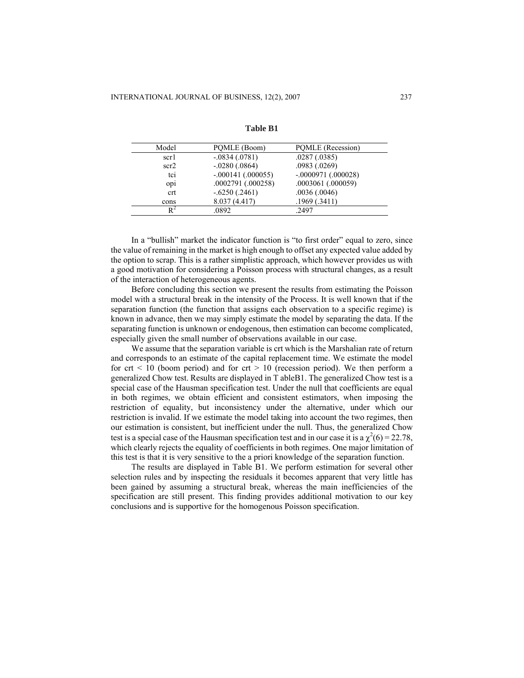| Model | PQMLE (Boom)        | PQMLE (Recession)    |
|-------|---------------------|----------------------|
| scr1  | $-.0834(.0781)$     | .0287(.0385)         |
| scr2  | $-.0280(.0864)$     | .0983(.0269)         |
| tci   | $-.000141(.000055)$ | $-.0000971(.000028)$ |
| opi   | .0002791 (.000258)  | .0003061 (.000059)   |
| crt   | $-.6250(.2461)$     | .0036(.0046)         |
| cons  | 8.037 (4.417)       | .1969(.3411)         |
|       | .0892               | .2497                |

**Table B1** 

In a "bullish" market the indicator function is "to first order" equal to zero, since the value of remaining in the market is high enough to offset any expected value added by the option to scrap. This is a rather simplistic approach, which however provides us with a good motivation for considering a Poisson process with structural changes, as a result of the interaction of heterogeneous agents.

Before concluding this section we present the results from estimating the Poisson model with a structural break in the intensity of the Process. It is well known that if the separation function (the function that assigns each observation to a specific regime) is known in advance, then we may simply estimate the model by separating the data. If the separating function is unknown or endogenous, then estimation can become complicated, especially given the small number of observations available in our case.

We assume that the separation variable is crt which is the Marshalian rate of return and corresponds to an estimate of the capital replacement time. We estimate the model for crt  $\leq$  10 (boom period) and for crt  $\geq$  10 (recession period). We then perform a generalized Chow test. Results are displayed in T ableB1. The generalized Chow test is a special case of the Hausman specification test. Under the null that coefficients are equal in both regimes, we obtain efficient and consistent estimators, when imposing the restriction of equality, but inconsistency under the alternative, under which our restriction is invalid. If we estimate the model taking into account the two regimes, then our estimation is consistent, but inefficient under the null. Thus, the generalized Chow test is a special case of the Hausman specification test and in our case it is a  $\chi^2(6) = 22.78$ , which clearly rejects the equality of coefficients in both regimes. One major limitation of this test is that it is very sensitive to the a priori knowledge of the separation function.

The results are displayed in Table B1. We perform estimation for several other selection rules and by inspecting the residuals it becomes apparent that very little has been gained by assuming a structural break, whereas the main inefficiencies of the specification are still present. This finding provides additional motivation to our key conclusions and is supportive for the homogenous Poisson specification.